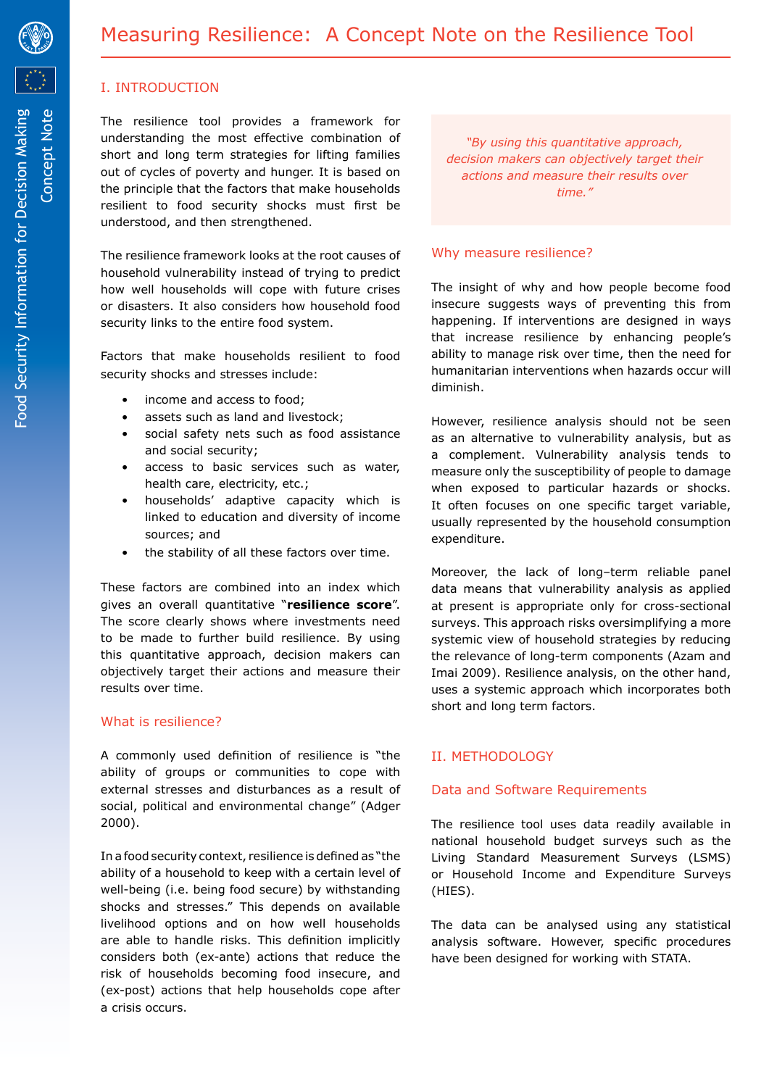

Concept Note

# I. INTRODUCTION

The resilience tool provides a framework for understanding the most effective combination of short and long term strategies for lifting families out of cycles of poverty and hunger. It is based on the principle that the factors that make households resilient to food security shocks must first be understood, and then strengthened.

The resilience framework looks at the root causes of household vulnerability instead of trying to predict how well households will cope with future crises or disasters. It also considers how household food security links to the entire food system.

Factors that make households resilient to food security shocks and stresses include:

- income and access to food;
- assets such as land and livestock;
- social safety nets such as food assistance and social security;
- access to basic services such as water, health care, electricity, etc.;
- households' adaptive capacity which is linked to education and diversity of income sources; and
- the stability of all these factors over time.

These factors are combined into an index which gives an overall quantitative "**resilience score**". The score clearly shows where investments need to be made to further build resilience. By using this quantitative approach, decision makers can objectively target their actions and measure their results over time.

### What is resilience?

A commonly used definition of resilience is "the ability of groups or communities to cope with external stresses and disturbances as a result of social, political and environmental change" (Adger 2000).

In a food security context, resilience is defined as "the ability of a household to keep with a certain level of well-being (i.e. being food secure) by withstanding shocks and stresses." This depends on available livelihood options and on how well households are able to handle risks. This definition implicitly considers both (ex-ante) actions that reduce the risk of households becoming food insecure, and (ex-post) actions that help households cope after a crisis occurs.

*"By using this quantitative approach, decision makers can objectively target their actions and measure their results over time."*

#### Why measure resilience?

The insight of why and how people become food insecure suggests ways of preventing this from happening. If interventions are designed in ways that increase resilience by enhancing people's ability to manage risk over time, then the need for humanitarian interventions when hazards occur will diminish.

However, resilience analysis should not be seen as an alternative to vulnerability analysis, but as a complement. Vulnerability analysis tends to measure only the susceptibility of people to damage when exposed to particular hazards or shocks. It often focuses on one specific target variable, usually represented by the household consumption expenditure.

Moreover, the lack of long–term reliable panel data means that vulnerability analysis as applied at present is appropriate only for cross-sectional surveys. This approach risks oversimplifying a more systemic view of household strategies by reducing the relevance of long-term components (Azam and Imai 2009). Resilience analysis, on the other hand, uses a systemic approach which incorporates both short and long term factors.

# II. METHODOLOGY

### Data and Software Requirements

The resilience tool uses data readily available in national household budget surveys such as the Living Standard Measurement Surveys (LSMS) or Household Income and Expenditure Surveys (HIES).

The data can be analysed using any statistical analysis software. However, specific procedures have been designed for working with STATA.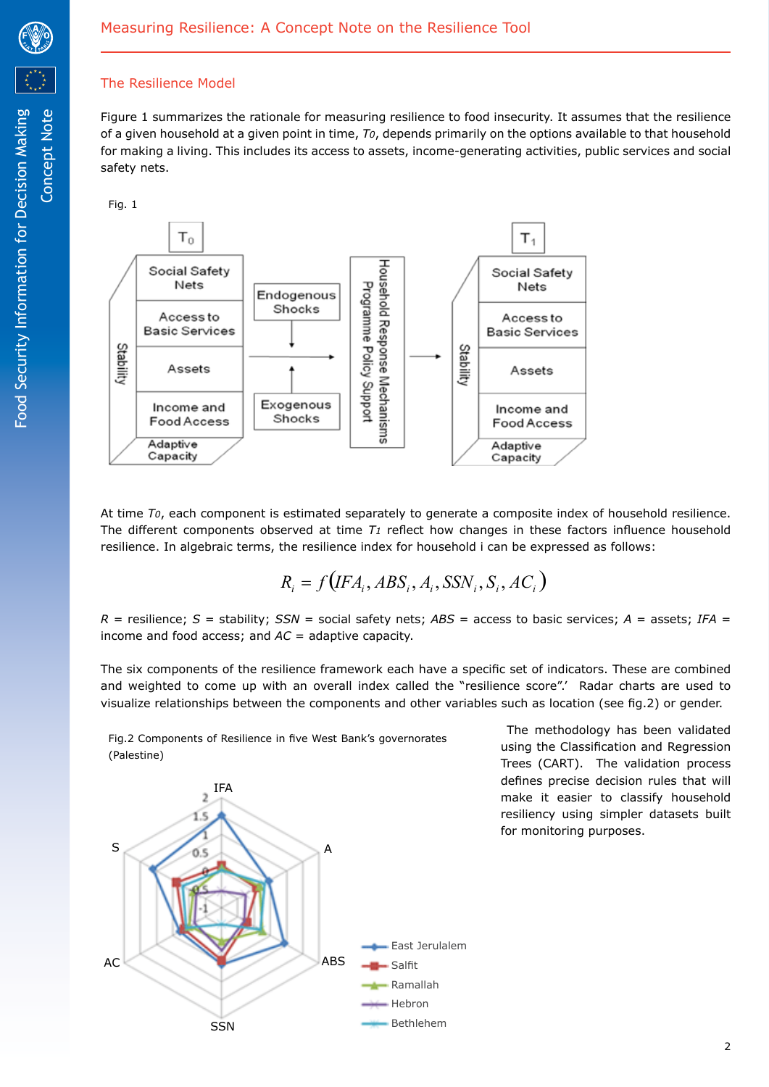

Concept Note

# The Resilience Model

Figure 1 summarizes the rationale for measuring resilience to food insecurity. It assumes that the resilience of a given household at a given point in time, *T0*, depends primarily on the options available to that household for making a living. This includes its access to assets, income-generating activities, public services and social safety nets.

Fig. 1



At time *T0*, each component is estimated separately to generate a composite index of household resilience. The different components observed at time *T1* reflect how changes in these factors influence household resilience. In algebraic terms, the resilience index for household i can be expressed as follows:

$$
R_i = f(IFA_i, ABS_i, A_i,SSN_i, S_i, AC_i)
$$

 $R =$  resilience;  $S =$  stability;  $SSN =$  social safety nets;  $ABS =$  access to basic services;  $A =$  assets;  $IFA =$ income and food access; and *AC* = adaptive capacity.

The six components of the resilience framework each have a specific set of indicators. These are combined and weighted to come up with an overall index called the "resilience score".' Radar charts are used to visualize relationships between the components and other variables such as location (see fig.2) or gender.

Fig.2 Components of Resilience in five West Bank's governorates (Palestine)



 The methodology has been validated using the Classification and Regression Trees (CART). The validation process defines precise decision rules that will make it easier to classify household resiliency using simpler datasets built for monitoring purposes.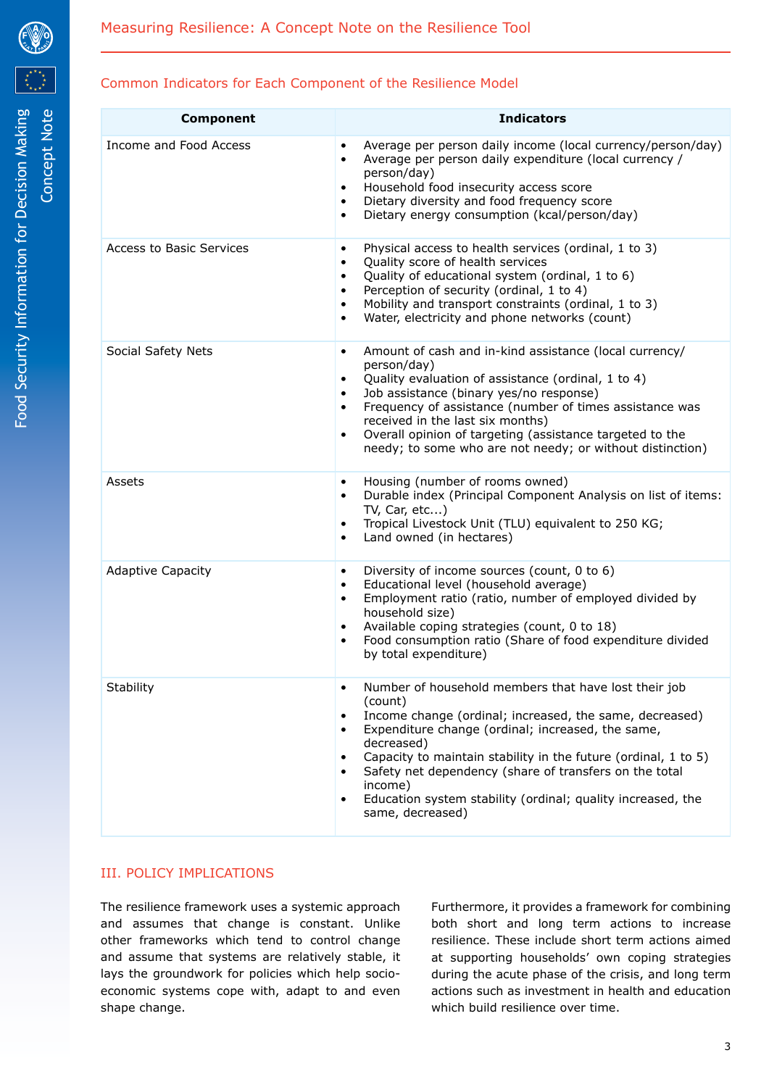# Common Indicators for Each Component of the Resilience Model

| <b>Component</b>         | <b>Indicators</b>                                                                                                                                                                                                                                                                                                                                                                                                                                                        |
|--------------------------|--------------------------------------------------------------------------------------------------------------------------------------------------------------------------------------------------------------------------------------------------------------------------------------------------------------------------------------------------------------------------------------------------------------------------------------------------------------------------|
| Income and Food Access   | Average per person daily income (local currency/person/day)<br>Average per person daily expenditure (local currency /<br>٠<br>person/day)<br>Household food insecurity access score<br>$\bullet$<br>Dietary diversity and food frequency score<br>$\bullet$<br>Dietary energy consumption (kcal/person/day)<br>$\bullet$                                                                                                                                                 |
| Access to Basic Services | Physical access to health services (ordinal, 1 to 3)<br>$\bullet$<br>Quality score of health services<br>٠<br>Quality of educational system (ordinal, 1 to 6)<br>٠<br>Perception of security (ordinal, 1 to 4)<br>$\bullet$<br>Mobility and transport constraints (ordinal, 1 to 3)<br>$\bullet$<br>Water, electricity and phone networks (count)<br>٠                                                                                                                   |
| Social Safety Nets       | Amount of cash and in-kind assistance (local currency/<br>٠<br>person/day)<br>Quality evaluation of assistance (ordinal, 1 to 4)<br>$\bullet$<br>Job assistance (binary yes/no response)<br>$\bullet$<br>Frequency of assistance (number of times assistance was<br>$\bullet$<br>received in the last six months)<br>Overall opinion of targeting (assistance targeted to the<br>$\bullet$<br>needy; to some who are not needy; or without distinction)                  |
| Assets                   | Housing (number of rooms owned)<br>$\bullet$<br>Durable index (Principal Component Analysis on list of items:<br>$\bullet$<br>TV, Car, etc)<br>Tropical Livestock Unit (TLU) equivalent to 250 KG;<br>$\bullet$<br>Land owned (in hectares)<br>$\bullet$                                                                                                                                                                                                                 |
| <b>Adaptive Capacity</b> | Diversity of income sources (count, 0 to 6)<br>$\bullet$<br>Educational level (household average)<br>$\bullet$<br>Employment ratio (ratio, number of employed divided by<br>$\bullet$<br>household size)<br>Available coping strategies (count, 0 to 18)<br>$\bullet$<br>Food consumption ratio (Share of food expenditure divided<br>by total expenditure)                                                                                                              |
| Stability                | Number of household members that have lost their job<br>(count)<br>Income change (ordinal; increased, the same, decreased)<br>$\bullet$<br>Expenditure change (ordinal; increased, the same,<br>$\bullet$<br>decreased)<br>Capacity to maintain stability in the future (ordinal, 1 to 5)<br>٠<br>Safety net dependency (share of transfers on the total<br>٠<br>income)<br>Education system stability (ordinal; quality increased, the<br>$\bullet$<br>same, decreased) |

# III. POLICY IMPLICATIONS

The resilience framework uses a systemic approach and assumes that change is constant. Unlike other frameworks which tend to control change and assume that systems are relatively stable, it lays the groundwork for policies which help socioeconomic systems cope with, adapt to and even shape change.

Furthermore, it provides a framework for combining both short and long term actions to increase resilience. These include short term actions aimed at supporting households' own coping strategies during the acute phase of the crisis, and long term actions such as investment in health and education which build resilience over time.

3



Concept Note